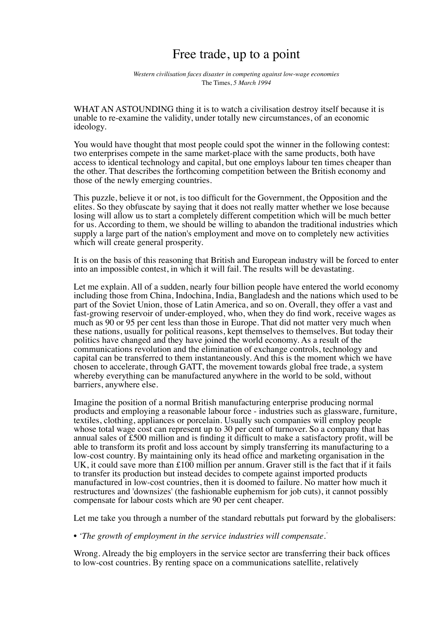## Free trade, up to a point

*Western civilisation faces disaster in competing against low-wage economies* The Times, *5 March 1994*

WHAT AN ASTOUNDING thing it is to watch a civilisation destroy itself because it is unable to re-examine the validity, under totally new circumstances, of an economic ideology.

You would have thought that most people could spot the winner in the following contest: two enterprises compete in the same market-place with the same products, both have access to identical technology and capital, but one employs labour ten times cheaper than the other. That describes the forthcoming competition between the British economy and those of the newly emerging countries.

This puzzle, believe it or not, is too difficult for the Government, the Opposition and the elites. So they obfuscate by saying that it does not really matter whether we lose because losing will allow us to start a completely different competition which will be much better for us. According to them, we should be willing to abandon the traditional industries which supply a large part of the nation's employment and move on to completely new activities which will create general prosperity.

It is on the basis of this reasoning that British and European industry will be forced to enter into an impossible contest, in which it will fail. The results will be devastating.

Let me explain. All of a sudden, nearly four billion people have entered the world economy including those from China, Indochina, India, Bangladesh and the nations which used to be part of the Soviet Union, those of Latin America, and so on. Overall, they offer a vast and fast-growing reservoir of under-employed, who, when they do find work, receive wages as much as 90 or 95 per cent less than those in Europe. That did not matter very much when these nations, usually for political reasons, kept themselves to themselves. But today their politics have changed and they have joined the world economy. As a result of the communications revolution and the elimination of exchange controls, technology and capital can be transferred to them instantaneously. And this is the moment which we have chosen to accelerate, through GATT, the movement towards global free trade, a system whereby everything can be manufactured anywhere in the world to be sold, without barriers, anywhere else.

Imagine the position of a normal British manufacturing enterprise producing normal products and employing a reasonable labour force - industries such as glassware, furniture, textiles, clothing, appliances or porcelain. Usually such companies will employ people whose total wage cost can represent up to 30 per cent of turnover. So a company that has annual sales of £500 million and is finding it difficult to make a satisfactory profit, will be able to transform its profit and loss account by simply transferring its manufacturing to a low-cost country. By maintaining only its head office and marketing organisation in the UK, it could save more than £100 million per annum. Graver still is the fact that if it fails to transfer its production but instead decides to compete against imported products manufactured in low-cost countries, then it is doomed to failure. No matter how much it restructures and 'downsizes' (the fashionable euphemism for job cuts), it cannot possibly compensate for labour costs which are 90 per cent cheaper.

Let me take you through a number of the standard rebuttals put forward by the globalisers:

*• 'The growth of employment in the service industries will compensate.'*

Wrong. Already the big employers in the service sector are transferring their back offices to low-cost countries. By renting space on a communications satellite, relatively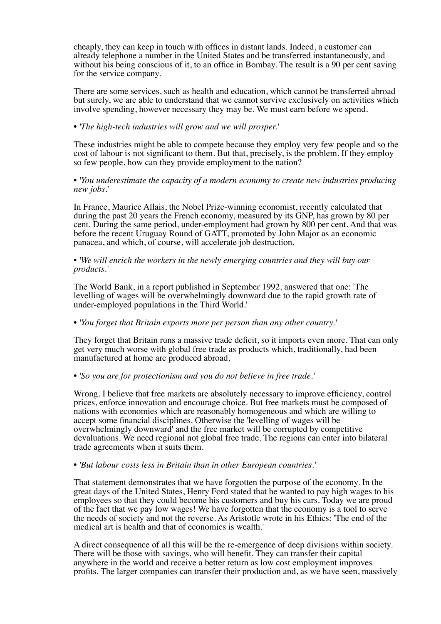cheaply, they can keep in touch with offices in distant lands. Indeed, a customer can already telephone a number in the United States and be transferred instantaneously, and without his being conscious of it, to an office in Bombay. The result is a 90 per cent saving for the service company.

There are some services, such as health and education, which cannot be transferred abroad but surely, we are able to understand that we cannot survive exclusively on activities which involve spending, however necessary they may be. We must earn before we spend.

*• 'The high-tech industries will grow and we will prosper.'* 

These industries might be able to compete because they employ very few people and so the cost of labour is not significant to them. But that, precisely, is the problem. If they employ so few people, how can they provide employment to the nation?

*• 'You underestimate the capacity of a modern economy to create new industries producing new jobs.'* 

In France, Maurice Allais, the Nobel Prize-winning economist, recently calculated that during the past 20 years the French economy, measured by its GNP, has grown by 80 per cent. During the same period, under-employment had grown by 800 per cent. And that was before the recent Uruguay Round of GATT, promoted by John Major as an economic panacea, and which, of course, will accelerate job destruction.

*• 'We will enrich the workers in the newly emerging countries and they will buy our products.'* 

The World Bank, in a report published in September 1992, answered that one: 'The levelling of wages will be overwhelmingly downward due to the rapid growth rate of under-employed populations in the Third World.'

*• 'You forget that Britain exports more per person than any other country.'* 

They forget that Britain runs a massive trade deficit, so it imports even more. That can only get very much worse with global free trade as products which, traditionally, had been manufactured at home are produced abroad.

*• 'So you are for protectionism and you do not believe in free trade.'* 

Wrong. I believe that free markets are absolutely necessary to improve efficiency, control prices, enforce innovation and encourage choice. But free markets must be composed of nations with economies which are reasonably homogeneous and which are willing to accept some financial disciplines. Otherwise the 'levelling of wages will be overwhelmingly downward' and the free market will be corrupted by competitive devaluations. We need regional not global free trade. The regions can enter into bilateral trade agreements when it suits them.

*• 'But labour costs less in Britain than in other European countries.'* 

That statement demonstrates that we have forgotten the purpose of the economy. In the great days of the United States, Henry Ford stated that he wanted to pay high wages to his employees so that they could become his customers and buy his cars. Today we are proud of the fact that we pay low wages! We have forgotten that the economy is a tool to serve the needs of society and not the reverse. As Aristotle wrote in his Ethics: 'The end of the medical art is health and that of economics is wealth.'

A direct consequence of all this will be the re-emergence of deep divisions within society. There will be those with savings, who will benefit. They can transfer their capital anywhere in the world and receive a better return as low cost employment improves profits. The larger companies can transfer their production and, as we have seen, massively